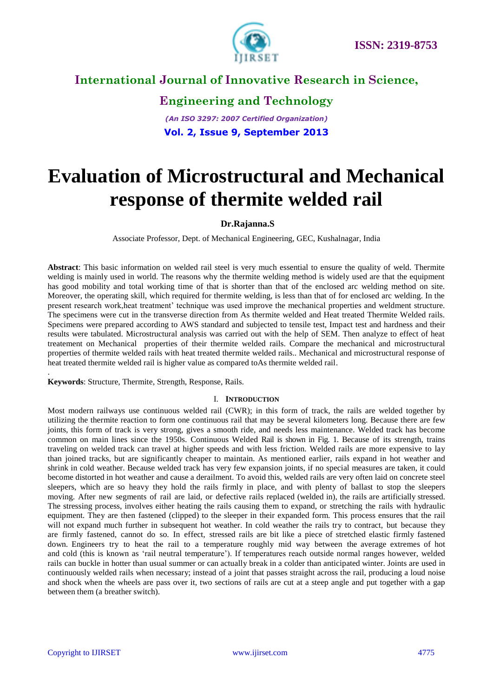

**Engineering and Technology**

*(An ISO 3297: 2007 Certified Organization)* **Vol. 2, Issue 9, September 2013**

# **Evaluation of Microstructural and Mechanical response of thermite welded rail**

## **Dr.Rajanna.S**

Associate Professor, Dept. of Mechanical Engineering, GEC, Kushalnagar, India

**Abstract**: This basic information on welded rail steel is very much essential to ensure the quality of weld. Thermite welding is mainly used in world. The reasons why the thermite welding method is widely used are that the equipment has good mobility and total working time of that is shorter than that of the enclosed arc welding method on site. Moreover, the operating skill, which required for thermite welding, is less than that of for enclosed arc welding. In the present research work,heat treatment' technique was used improve the mechanical properties and weldment structure. The specimens were cut in the transverse direction from As thermite welded and Heat treated Thermite Welded rails. Specimens were prepared according to AWS standard and subjected to tensile test, Impact test and hardness and their results were tabulated. Microstructural analysis was carried out with the help of SEM. Then analyze to effect of heat treatement on Mechanical properties of their thermite welded rails. Compare the mechanical and microstructural properties of thermite welded rails with heat treated thermite welded rails.. Mechanical and microstructural response of heat treated thermite welded rail is higher value as compared toAs thermite welded rail.

**Keywords**: Structure, Thermite, Strength, Response, Rails.

#### I. **INTRODUCTION**

Most modern railways use continuous welded rail (CWR); in this form of track, the rails are welded together by utilizing the thermite reaction to form one continuous rail that may be several kilometers long. Because there are few joints, this form of track is very strong, gives a smooth ride, and needs less maintenance. Welded track has become common on main lines since the 1950s. Continuous Welded Rail is shown in Fig. 1. Because of its strength, trains traveling on welded track can travel at higher speeds and with less friction. Welded rails are more expensive to lay than joined tracks, but are significantly cheaper to maintain. As mentioned earlier, rails expand in hot weather and shrink in cold weather. Because welded track has very few expansion joints, if no special measures are taken, it could become distorted in hot weather and cause a derailment. To avoid this, welded rails are very often laid on concrete steel sleepers, which are so heavy they hold the rails firmly in place, and with plenty of ballast to stop the sleepers moving. After new segments of rail are laid, or defective rails replaced (welded in), the rails are artificially stressed. The stressing process, involves either heating the rails causing them to expand, or stretching the rails with hydraulic equipment. They are then fastened (clipped) to the sleeper in their expanded form. This process ensures that the rail will not expand much further in subsequent hot weather. In cold weather the rails try to contract, but because they are firmly fastened, cannot do so. In effect, stressed rails are bit like a piece of stretched elastic firmly fastened down. Engineers try to heat the rail to a temperature roughly mid way between the average extremes of hot and cold (this is known as 'rail neutral temperature'). If temperatures reach outside normal ranges however, welded rails can buckle in hotter than usual summer or can actually break in a colder than anticipated winter. Joints are used in continuously welded rails when necessary; instead of a joint that passes straight across the rail, producing a loud noise and shock when the wheels are pass over it, two sections of rails are cut at a steep angle and put together with a gap between them (a breather switch).

.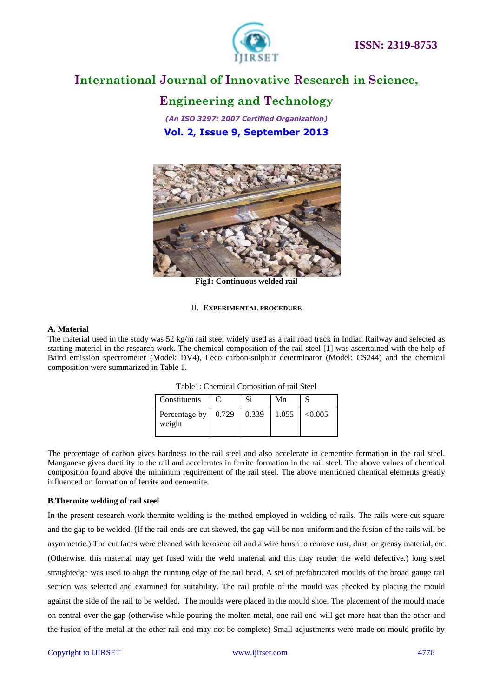

## **Engineering and Technology**

*(An ISO 3297: 2007 Certified Organization)* **Vol. 2, Issue 9, September 2013**



**Fig1: Continuous welded rail**

#### II. **EXPERIMENTAL PROCEDURE**

#### **A. Material**

The material used in the study was 52 kg/m rail steel widely used as a rail road track in Indian Railway and selected as starting material in the research work. The chemical composition of the rail steel [1] was ascertained with the help of Baird emission spectrometer (Model: DV4), Leco carbon-sulphur determinator (Model: CS244) and the chemical composition were summarized in Table 1.

Table1: Chemical Comosition of rail Steel

| Constituents                    |       | Mn    |         |
|---------------------------------|-------|-------|---------|
| Percentage by   0.729<br>weight | 0.339 | 1.055 | < 0.005 |

The percentage of carbon gives hardness to the rail steel and also accelerate in cementite formation in the rail steel. Manganese gives ductility to the rail and accelerates in ferrite formation in the rail steel. The above values of chemical composition found above the minimum requirement of the rail steel. The above mentioned chemical elements greatly influenced on formation of ferrite and cementite.

## **B.Thermite welding of rail steel**

In the present research work thermite welding is the method employed in welding of rails. The rails were cut square and the gap to be welded. (If the rail ends are cut skewed, the gap will be non-uniform and the fusion of the rails will be asymmetric.).The cut faces were cleaned with kerosene oil and a wire brush to remove rust, dust, or greasy material, etc. (Otherwise, this material may get fused with the weld material and this may render the weld defective.) long steel straightedge was used to align the running edge of the rail head. A set of prefabricated moulds of the broad gauge rail section was selected and examined for suitability. The rail profile of the mould was checked by placing the mould against the side of the rail to be welded. The moulds were placed in the mould shoe. The placement of the mould made on central over the gap (otherwise while pouring the molten metal, one rail end will get more heat than the other and the fusion of the metal at the other rail end may not be complete) Small adjustments were made on mould profile by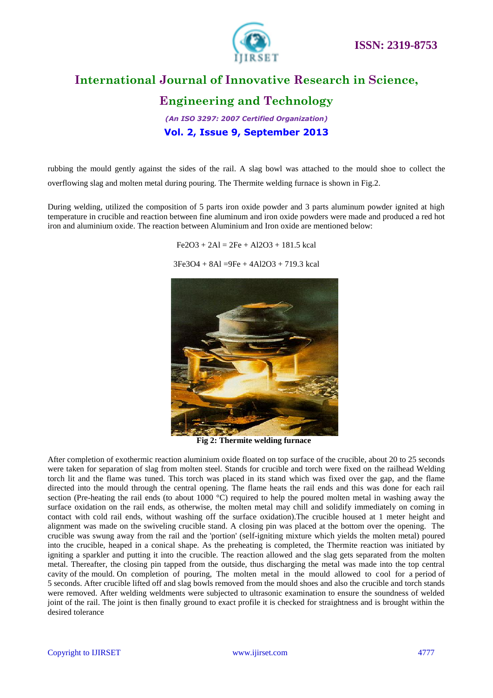

## **Engineering and Technology**

*(An ISO 3297: 2007 Certified Organization)* **Vol. 2, Issue 9, September 2013**

rubbing the mould gently against the sides of the rail. A slag bowl was attached to the mould shoe to collect the overflowing slag and molten metal during pouring. The Thermite welding furnace is shown in Fig.2.

During welding, utilized the composition of 5 parts iron oxide powder and 3 parts aluminum powder ignited at high temperature in crucible and reaction between fine aluminum and iron oxide powders were made and produced a red hot iron and aluminium oxide. The reaction between Aluminium and Iron oxide are mentioned below:

 $Fe2O3 + 2Al = 2Fe + Al2O3 + 181.5$  kcal

3Fe3O4 + 8Al =9Fe + 4Al2O3 + 719.3 kcal



**Fig 2: Thermite welding furnace**

After completion of exothermic reaction aluminium oxide floated on top surface of the crucible, about 20 to 25 seconds were taken for separation of slag from molten steel. Stands for crucible and torch were fixed on the railhead Welding torch lit and the flame was tuned. This torch was placed in its stand which was fixed over the gap, and the flame directed into the mould through the central opening. The flame heats the rail ends and this was done for each rail section (Pre-heating the rail ends (to about 1000  $^{\circ}$ C) required to help the poured molten metal in washing away the surface oxidation on the rail ends, as otherwise, the molten metal may chill and solidify immediately on coming in contact with cold rail ends, without washing off the surface oxidation).The crucible housed at 1 meter height and alignment was made on the swiveling crucible stand. A closing pin was placed at the bottom over the opening. The crucible was swung away from the rail and the 'portion' (self-igniting mixture which yields the molten metal) poured into the crucible, heaped in a conical shape. As the preheating is completed, the Thermite reaction was initiated by igniting a sparkler and putting it into the crucible. The reaction allowed and the slag gets separated from the molten metal. Thereafter, the closing pin tapped from the outside, thus discharging the metal was made into the top central cavity of the mould. On completion of pouring, The molten metal in the mould allowed to cool for a period of 5 seconds. After crucible lifted off and slag bowls removed from the mould shoes and also the crucible and torch stands were removed. After welding weldments were subjected to ultrasonic examination to ensure the soundness of welded joint of the rail. The joint is then finally ground to exact profile it is checked for straightness and is brought within the desired tolerance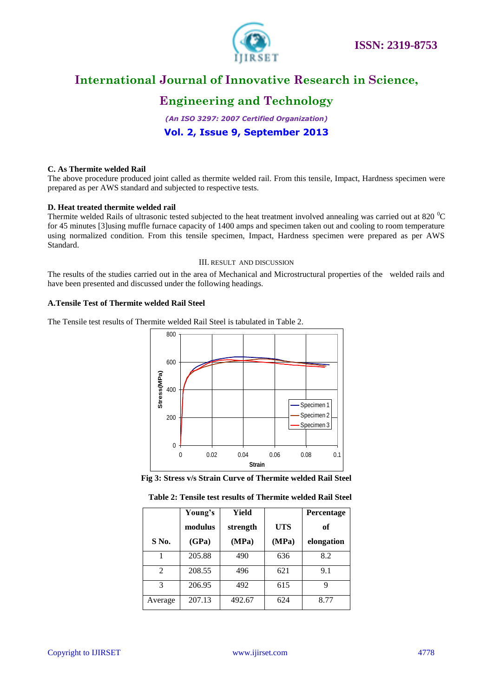

## **Engineering and Technology**

*(An ISO 3297: 2007 Certified Organization)* **Vol. 2, Issue 9, September 2013**

#### **C. As Thermite welded Rail**

The above procedure produced joint called as thermite welded rail. From this tensile, Impact, Hardness specimen were prepared as per AWS standard and subjected to respective tests.

#### **D. Heat treated thermite welded rail**

Thermite welded Rails of ultrasonic tested subjected to the heat treatment involved annealing was carried out at 820 $\rm{^0C}$ for 45 minutes [3]using muffle furnace capacity of 1400 amps and specimen taken out and cooling to room temperature using normalized condition. From this tensile specimen, Impact, Hardness specimen were prepared as per AWS Standard.

#### III. RESULT AND DISCUSSION

The results of the studies carried out in the area of Mechanical and Microstructural properties of the welded rails and have been presented and discussed under the following headings.

#### **A.Tensile Test of Thermite welded Rail Steel**

The Tensile test results of Thermite welded Rail Steel is tabulated in Table 2.





|                | Young's | Yield    |            | Percentage |
|----------------|---------|----------|------------|------------|
|                | modulus | strength | <b>UTS</b> | of         |
| $S$ No.        | (GPa)   | (MPa)    | (MPa)      | elongation |
| 1              | 205.88  | 490      | 636        | 8.2        |
| $\mathfrak{D}$ | 208.55  | 496      | 621        | 9.1        |
| 3              | 206.95  | 492      | 615        | q          |
| Average        | 207.13  | 492.67   | 624        | 8.77       |

#### **Table 2: Tensile test results of Thermite welded Rail Steel**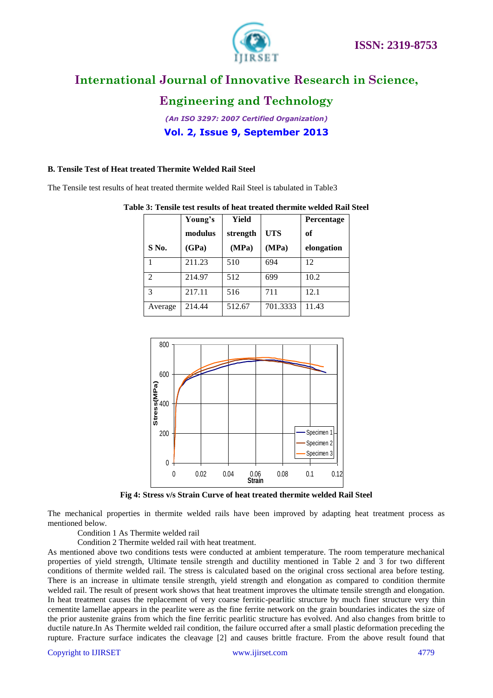

## **Engineering and Technology**

*(An ISO 3297: 2007 Certified Organization)* **Vol. 2, Issue 9, September 2013**

## **B. Tensile Test of Heat treated Thermite Welded Rail Steel**

The Tensile test results of heat treated thermite welded Rail Steel is tabulated in Table3

|         | Young's | <b>Yield</b> |          | Percentage |
|---------|---------|--------------|----------|------------|
|         | modulus | strength     | UTS      | оf         |
| S No.   | (GPa)   | (MPa)        | (MPa)    | elongation |
|         | 211.23  | 510          | 694      | 12         |
| っ       | 214.97  | 512          | 699      | 10.2       |
| 3       | 217.11  | 516          | 711      | 12.1       |
| Average | 214.44  | 512.67       | 701.3333 | 11.43      |





**Fig 4: Stress v/s Strain Curve of heat treated thermite welded Rail Steel**

The mechanical properties in thermite welded rails have been improved by adapting heat treatment process as mentioned below.

Condition 1 As Thermite welded rail

Condition 2 Thermite welded rail with heat treatment.

As mentioned above two conditions tests were conducted at ambient temperature. The room temperature mechanical properties of yield strength, Ultimate tensile strength and ductility mentioned in Table 2 and 3 for two different conditions of thermite welded rail. The stress is calculated based on the original cross sectional area before testing. There is an increase in ultimate tensile strength, yield strength and elongation as compared to condition thermite welded rail. The result of present work shows that heat treatment improves the ultimate tensile strength and elongation. In heat treatment causes the replacement of very coarse ferritic-pearlitic structure by much finer structure very thin cementite lamellae appears in the pearlite were as the fine ferrite network on the grain boundaries indicates the size of the prior austenite grains from which the fine ferritic pearlitic structure has evolved. And also changes from brittle to ductile nature.In As Thermite welded rail condition, the failure occurred after a small plastic deformation preceding the rupture. Fracture surface indicates the cleavage [2] and causes brittle fracture. From the above result found that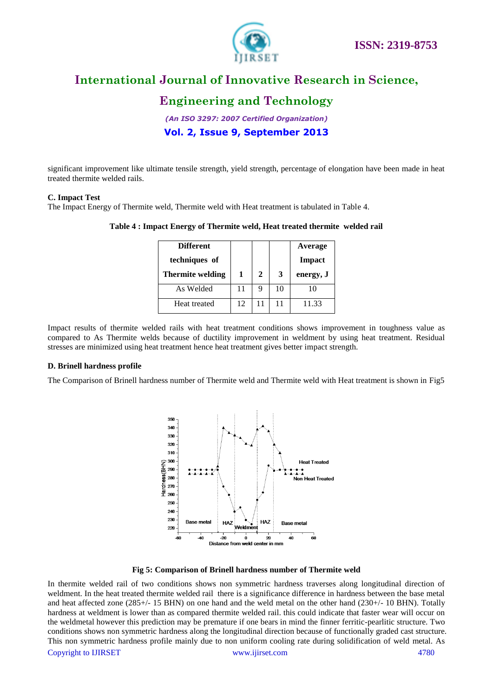

## **Engineering and Technology**

*(An ISO 3297: 2007 Certified Organization)* **Vol. 2, Issue 9, September 2013**

significant improvement like ultimate tensile strength, yield strength, percentage of elongation have been made in heat treated thermite welded rails.

#### **C. Impact Test**

The Impact Energy of Thermite weld, Thermite weld with Heat treatment is tabulated in Table 4.

| <b>Different</b>        |    |              |    | <b>Average</b> |
|-------------------------|----|--------------|----|----------------|
| techniques of           |    |              |    | Impact         |
| <b>Thermite welding</b> | 1  | $\mathbf{2}$ | 3  | energy, J      |
| As Welded               | 11 | 9            | 10 | 10             |
| Heat treated            | 12 | 11           | 11 | 11.33          |

**Table 4 : Impact Energy of Thermite weld, Heat treated thermite welded rail**

Impact results of thermite welded rails with heat treatment conditions shows improvement in toughness value as compared to As Thermite welds because of ductility improvement in weldment by using heat treatment. Residual stresses are minimized using heat treatment hence heat treatment gives better impact strength.

## **D. Brinell hardness profile**

The Comparison of Brinell hardness number of Thermite weld and Thermite weld with Heat treatment is shown in Fig5



**Fig 5: Comparison of Brinell hardness number of Thermite weld**

Copyright to IJIRSET [www.ijirset.com](http://www.ijirset.com/) 4780 In thermite welded rail of two conditions shows non symmetric hardness traverses along longitudinal direction of weldment. In the heat treated thermite welded rail there is a significance difference in hardness between the base metal and heat affected zone (285+/- 15 BHN) on one hand and the weld metal on the other hand (230+/- 10 BHN). Totally hardness at weldment is lower than as compared thermite welded rail. this could indicate that faster wear will occur on the weldmetal however this prediction may be premature if one bears in mind the finner ferritic-pearlitic structure. Two conditions shows non symmetric hardness along the longitudinal direction because of functionally graded cast structure. This non symmetric hardness profile mainly due to non uniform cooling rate during solidification of weld metal. As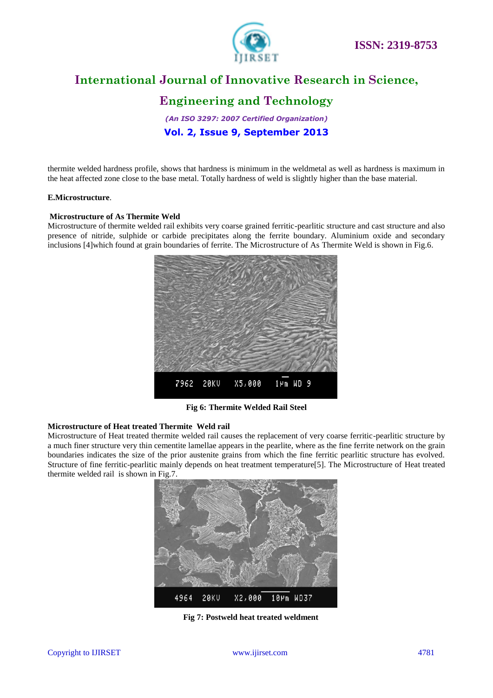

## **Engineering and Technology**

*(An ISO 3297: 2007 Certified Organization)* **Vol. 2, Issue 9, September 2013**

thermite welded hardness profile, shows that hardness is minimum in the weldmetal as well as hardness is maximum in the heat affected zone close to the base metal. Totally hardness of weld is slightly higher than the base material.

#### **E.Microstructure**.

#### **Microstructure of As Thermite Weld**

Microstructure of thermite welded rail exhibits very coarse grained ferritic-pearlitic structure and cast structure and also presence of nitride, sulphide or carbide precipitates along the ferrite boundary. Aluminium oxide and secondary inclusions [4]which found at grain boundaries of ferrite. The Microstructure of As Thermite Weld is shown in Fig.6.



**Fig 6: Thermite Welded Rail Steel**

## **Microstructure of Heat treated Thermite Weld rail**

Microstructure of Heat treated thermite welded rail causes the replacement of very coarse ferritic-pearlitic structure by a much finer structure very thin cementite lamellae appears in the pearlite, where as the fine ferrite network on the grain boundaries indicates the size of the prior austenite grains from which the fine ferritic pearlitic structure has evolved. Structure of fine ferritic-pearlitic mainly depends on heat treatment temperature[5]. The Microstructure of Heat treated thermite welded rail is shown in Fig.7.



**Fig 7: Postweld heat treated weldment**